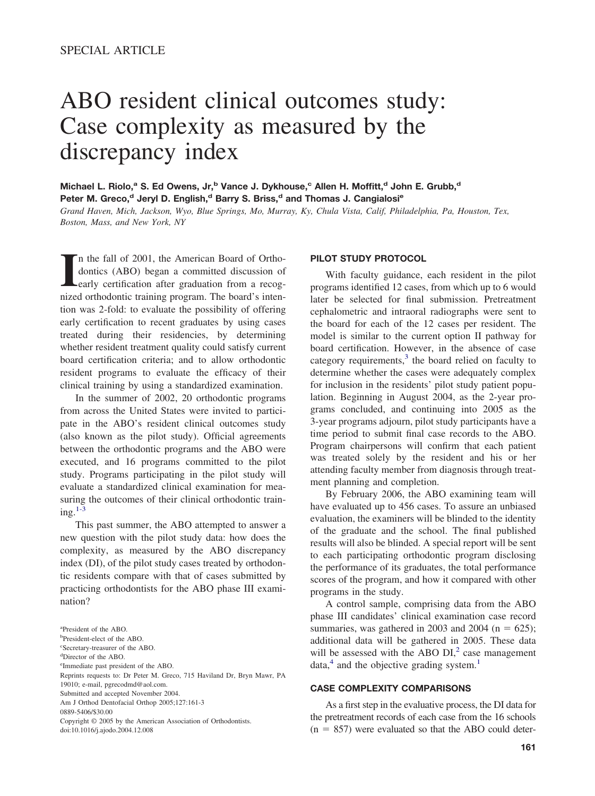# ABO resident clinical outcomes study: Case complexity as measured by the discrepancy index

**Michael L. Riolo,<sup>a</sup> S. Ed Owens, Jr,<sup>b</sup> Vance J. Dykhouse,<sup>c</sup> Allen H. Moffitt,<sup>d</sup> John E. Grubb,<sup>d</sup>** Peter M. Greco,<sup>d</sup> Jeryl D. English,<sup>d</sup> Barry S. Briss,<sup>d</sup> and Thomas J. Cangialosi<sup>e</sup>

*Grand Haven, Mich, Jackson, Wyo, Blue Springs, Mo, Murray, Ky, Chula Vista, Calif, Philadelphia, Pa, Houston, Tex, Boston, Mass, and New York, NY*

In the fall of 2001, the American Board of Orthodontics (ABO) began a committed discussion of early certification after graduation from a recognized orthodontic training program. The board's intenn the fall of 2001, the American Board of Orthodontics (ABO) began a committed discussion of early certification after graduation from a recogtion was 2-fold: to evaluate the possibility of offering early certification to recent graduates by using cases treated during their residencies, by determining whether resident treatment quality could satisfy current board certification criteria; and to allow orthodontic resident programs to evaluate the efficacy of their clinical training by using a standardized examination.

In the summer of 2002, 20 orthodontic programs from across the United States were invited to participate in the ABO's resident clinical outcomes study (also known as the pilot study). Official agreements between the orthodontic programs and the ABO were executed, and 16 programs committed to the pilot study. Programs participating in the pilot study will evaluate a standardized clinical examination for measuring the outcomes of their clinical orthodontic train $ine.$ <sup>1-3</sup>

This past summer, the ABO attempted to answer a new question with the pilot study data: how does the complexity, as measured by the ABO discrepancy index (DI), of the pilot study cases treated by orthodontic residents compare with that of cases submitted by practicing orthodontists for the ABO phase III examination?

#### **PILOT STUDY PROTOCOL**

With faculty guidance, each resident in the pilot programs identified 12 cases, from which up to 6 would later be selected for final submission. Pretreatment cephalometric and intraoral radiographs were sent to the board for each of the 12 cases per resident. The model is similar to the current option II pathway for board certification. However, in the absence of case category requirements, $3$  the board relied on faculty to determine whether the cases were adequately complex for inclusion in the residents' pilot study patient population. Beginning in August 2004, as the 2-year programs concluded, and continuing into 2005 as the 3-year programs adjourn, pilot study participants have a time period to submit final case records to the ABO. Program chairpersons will confirm that each patient was treated solely by the resident and his or her attending faculty member from diagnosis through treatment planning and completion.

By February 2006, the ABO examining team will have evaluated up to 456 cases. To assure an unbiased evaluation, the examiners will be blinded to the identity of the graduate and the school. The final published results will also be blinded. A special report will be sent to each participating orthodontic program disclosing the performance of its graduates, the total performance scores of the program, and how it compared with other programs in the study.

A control sample, comprising data from the ABO phase III candidates' clinical examination case record summaries, was gathered in 2003 and 2004 ( $n = 625$ ); additional data will be gathered in 2005. These data will be assessed with the ABO  $DI<sub>1</sub><sup>2</sup>$  case management  $data<sub>1</sub><sup>4</sup>$  and the objective grading system.<sup>1</sup>

# **CASE COMPLEXITY COMPARISONS**

As a first step in the evaluative process, the DI data for the pretreatment records of each case from the 16 schools  $(n = 857)$  were evaluated so that the ABO could deter-

a President of the ABO.

b President-elect of the ABO.

c Secretary-treasurer of the ABO.

d Director of the ABO.

e Immediate past president of the ABO. Reprints requests to: Dr Peter M. Greco, 715 Haviland Dr, Bryn Mawr, PA

<sup>19010;</sup> e-mail, pgrecodmd@aol.com.

Submitted and accepted November 2004.

Am J Orthod Dentofacial Orthop 2005;127:161-3

<sup>0889-5406/\$30.00</sup>

Copyright © 2005 by the American Association of Orthodontists. doi:10.1016/j.ajodo.2004.12.008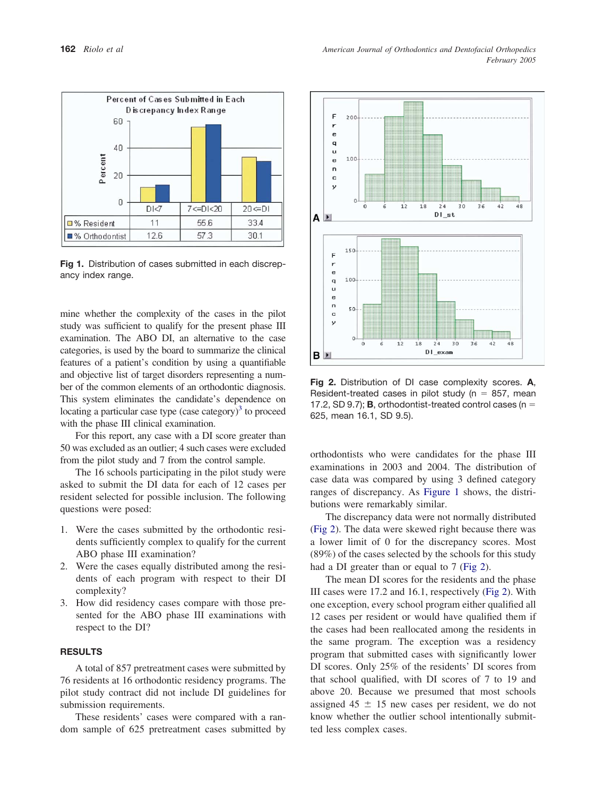

**Fig 1.** Distribution of cases submitted in each discrepancy index range.

mine whether the complexity of the cases in the pilot study was sufficient to qualify for the present phase III examination. The ABO DI, an alternative to the case categories, is used by the board to summarize the clinical features of a patient's condition by using a quantifiable and objective list of target disorders representing a number of the common elements of an orthodontic diagnosis. This system eliminates the candidate's dependence on locating a particular case type (case category) $3$  to proceed with the phase III clinical examination.

For this report, any case with a DI score greater than 50 was excluded as an outlier; 4 such cases were excluded from the pilot study and 7 from the control sample.

The 16 schools participating in the pilot study were asked to submit the DI data for each of 12 cases per resident selected for possible inclusion. The following questions were posed:

- 1. Were the cases submitted by the orthodontic residents sufficiently complex to qualify for the current ABO phase III examination?
- 2. Were the cases equally distributed among the residents of each program with respect to their DI complexity?
- 3. How did residency cases compare with those presented for the ABO phase III examinations with respect to the DI?

## **RESULTS**

A total of 857 pretreatment cases were submitted by 76 residents at 16 orthodontic residency programs. The pilot study contract did not include DI guidelines for submission requirements.

These residents' cases were compared with a random sample of 625 pretreatment cases submitted by



**Fig 2.** Distribution of DI case complexity scores. **A**, Resident-treated cases in pilot study ( $n = 857$ , mean 17.2, SD 9.7); **B**, orthodontist-treated control cases ( $n =$ 625, mean 16.1, SD 9.5).

orthodontists who were candidates for the phase III examinations in 2003 and 2004. The distribution of case data was compared by using 3 defined category ranges of discrepancy. As Figure 1 shows, the distributions were remarkably similar.

The discrepancy data were not normally distributed (Fig 2). The data were skewed right because there was a lower limit of 0 for the discrepancy scores. Most (89%) of the cases selected by the schools for this study had a DI greater than or equal to 7 (Fig 2).

The mean DI scores for the residents and the phase III cases were 17.2 and 16.1, respectively (Fig 2). With one exception, every school program either qualified all 12 cases per resident or would have qualified them if the cases had been reallocated among the residents in the same program. The exception was a residency program that submitted cases with significantly lower DI scores. Only 25% of the residents' DI scores from that school qualified, with DI scores of 7 to 19 and above 20. Because we presumed that most schools assigned  $45 \pm 15$  new cases per resident, we do not know whether the outlier school intentionally submitted less complex cases.